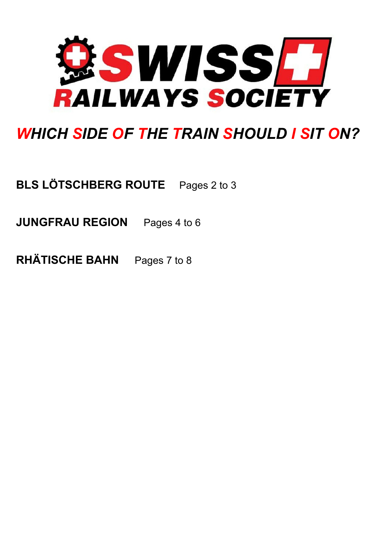

# *WHICH SIDE OF THE TRAIN SHOULD I SIT ON?*

**BLS LÖTSCHBERG ROUTE** Pages 2 to 3

**JUNGFRAU REGION** Pages 4 to 6

**RHÄTISCHE BAHN** Pages 7 to 8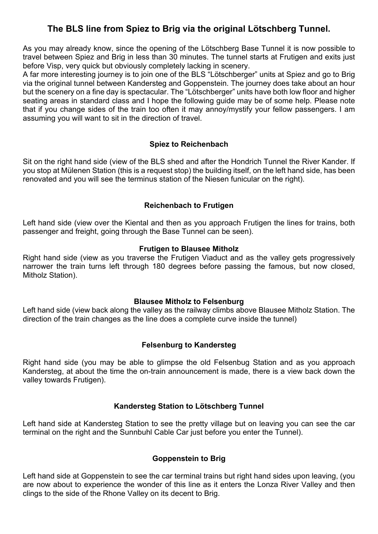# **The BLS line from Spiez to Brig via the original Lötschberg Tunnel.**

As you may already know, since the opening of the Lötschberg Base Tunnel it is now possible to travel between Spiez and Brig in less than 30 minutes. The tunnel starts at Frutigen and exits just before Visp, very quick but obviously completely lacking in scenery.

A far more interesting journey is to join one of the BLS "Lötschberger" units at Spiez and go to Brig via the original tunnel between Kandersteg and Goppenstein. The journey does take about an hour but the scenery on a fine day is spectacular. The "Lötschberger" units have both low floor and higher seating areas in standard class and I hope the following guide may be of some help. Please note that if you change sides of the train too often it may annoy/mystify your fellow passengers. I am assuming you will want to sit in the direction of travel.

#### **Spiez to Reichenbach**

Sit on the right hand side (view of the BLS shed and after the Hondrich Tunnel the River Kander. If you stop at Mülenen Station (this is a request stop) the building itself, on the left hand side, has been renovated and you will see the terminus station of the Niesen funicular on the right).

#### **Reichenbach to Frutigen**

Left hand side (view over the Kiental and then as you approach Frutigen the lines for trains, both passenger and freight, going through the Base Tunnel can be seen).

#### **Frutigen to Blausee Mitholz**

Right hand side (view as you traverse the Frutigen Viaduct and as the valley gets progressively narrower the train turns left through 180 degrees before passing the famous, but now closed, Mitholz Station).

#### **Blausee Mitholz to Felsenburg**

Left hand side (view back along the valley as the railway climbs above Blausee Mitholz Station. The direction of the train changes as the line does a complete curve inside the tunnel)

# **Felsenburg to Kandersteg**

Right hand side (you may be able to glimpse the old Felsenbug Station and as you approach Kandersteg, at about the time the on-train announcement is made, there is a view back down the valley towards Frutigen).

#### **Kandersteg Station to Lötschberg Tunnel**

Left hand side at Kandersteg Station to see the pretty village but on leaving you can see the car terminal on the right and the Sunnbuhl Cable Car just before you enter the Tunnel).

# **Goppenstein to Brig**

Left hand side at Goppenstein to see the car terminal trains but right hand sides upon leaving, (you are now about to experience the wonder of this line as it enters the Lonza River Valley and then clings to the side of the Rhone Valley on its decent to Brig.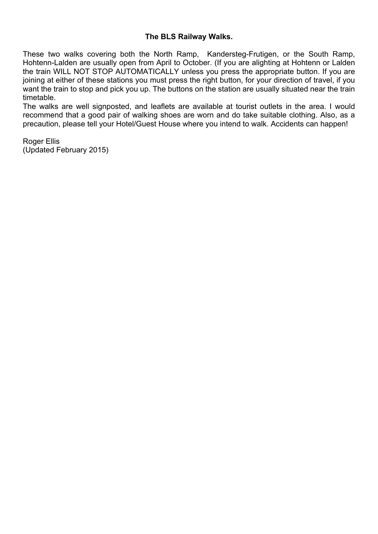#### **The BLS Railway Walks.**

These two walks covering both the North Ramp, Kandersteg-Frutigen, or the South Ramp, Hohtenn-Lalden are usually open from April to October. (If you are alighting at Hohtenn or Lalden the train WILL NOT STOP AUTOMATICALLY unless you press the appropriate button. If you are joining at either of these stations you must press the right button, for your direction of travel, if you want the train to stop and pick you up. The buttons on the station are usually situated near the train timetable.

The walks are well signposted, and leaflets are available at tourist outlets in the area. I would recommend that a good pair of walking shoes are worn and do take suitable clothing. Also, as a precaution, please tell your Hotel/Guest House where you intend to walk. Accidents can happen!

Roger Ellis (Updated February 2015)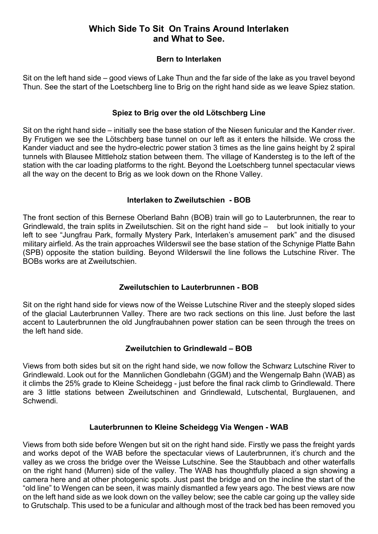# **Which Side To Sit On Trains Around Interlaken and What to See.**

#### **Bern to Interlaken**

Sit on the left hand side – good views of Lake Thun and the far side of the lake as you travel beyond Thun. See the start of the Loetschberg line to Brig on the right hand side as we leave Spiez station.

#### **Spiez to Brig over the old Lötschberg Line**

Sit on the right hand side – initially see the base station of the Niesen funicular and the Kander river. By Frutigen we see the Lötschberg base tunnel on our left as it enters the hillside. We cross the Kander viaduct and see the hydro-electric power station 3 times as the line gains height by 2 spiral tunnels with Blausee Mittleholz station between them. The village of Kandersteg is to the left of the station with the car loading platforms to the right. Beyond the Loetschberg tunnel spectacular views all the way on the decent to Brig as we look down on the Rhone Valley.

#### **Interlaken to Zweilutschien - BOB**

The front section of this Bernese Oberland Bahn (BOB) train will go to Lauterbrunnen, the rear to Grindlewald, the train splits in Zweilutschien. Sit on the right hand side – but look initially to your left to see "Jungfrau Park, formally Mystery Park, Interlaken's amusement park" and the disused military airfield. As the train approaches Wilderswil see the base station of the Schynige Platte Bahn (SPB) opposite the station building. Beyond Wilderswil the line follows the Lutschine River. The BOBs works are at Zweilutschien.

# **Zweilutschien to Lauterbrunnen - BOB**

Sit on the right hand side for views now of the Weisse Lutschine River and the steeply sloped sides of the glacial Lauterbrunnen Valley. There are two rack sections on this line. Just before the last accent to Lauterbrunnen the old Jungfraubahnen power station can be seen through the trees on the left hand side.

# **Zweilutchien to Grindlewald – BOB**

Views from both sides but sit on the right hand side, we now follow the Schwarz Lutschine River to Grindlewald. Look out for the Mannlichen Gondlebahn (GGM) and the Wengernalp Bahn (WAB) as it climbs the 25% grade to Kleine Scheidegg - just before the final rack climb to Grindlewald. There are 3 little stations between Zweilutschinen and Grindlewald, Lutschental, Burglauenen, and Schwendi.

#### **Lauterbrunnen to Kleine Scheidegg Via Wengen - WAB**

Views from both side before Wengen but sit on the right hand side. Firstly we pass the freight yards and works depot of the WAB before the spectacular views of Lauterbrunnen, it's church and the valley as we cross the bridge over the Weisse Lutschine. See the Staubbach and other waterfalls on the right hand (Murren) side of the valley. The WAB has thoughtfully placed a sign showing a camera here and at other photogenic spots. Just past the bridge and on the incline the start of the "old line" to Wengen can be seen, it was mainly dismantled a few years ago. The best views are now on the left hand side as we look down on the valley below; see the cable car going up the valley side to Grutschalp. This used to be a funicular and although most of the track bed has been removed you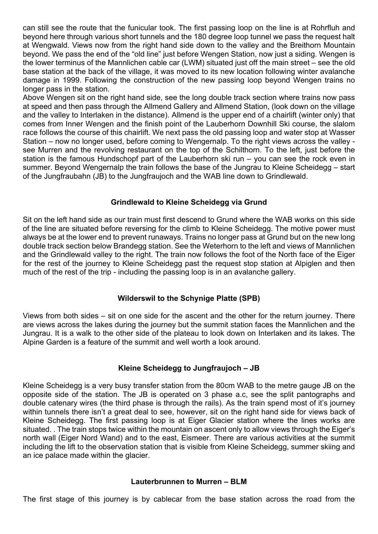can still see the route that the funicular took. The first passing loop on the line is at Rohrfluh and beyond here through various short tunnels and the 180 degree loop tunnel we pass the request halt at Wengwald. Views now from the right hand side down to the valley and the Breithorn Mountain beyond. We pass the end of the "old line" just before Wengen Station, now just a siding. Wengen is the lower terminus of the Mannlichen cable car (LWM) situated just off the main street – see the old base station at the back of the village, it was moved to its new location following winter avalanche damage in 1999. Following the construction of the new passing loop beyond Wengen trains no longer pass in the station.

Above Wengen sit on the right hand side, see the long double track section where trains now pass at speed and then pass through the Allmend Gallery and Allmend Station, (look down on the village and the valley to Interlaken in the distance). Allmend is the upper end of a chairlift (winter only) that comes from Inner Wengen and the finish point of the Lauberhorn Downhill Ski course, the slalom race follows the course of this chairlift. We next pass the old passing loop and water stop at Wasser Station – now no longer used, before coming to Wengernalp. To the right views across the valley see Murren and the revolving restaurant on the top of the Schilthorn. To the left, just before the station is the famous Hundschopf part of the Lauberhorn ski run – you can see the rock even in summer. Beyond Wengernalp the train follows the base of the Jungrau to Kleine Scheidegg – start of the Jungfraubahn (JB) to the Jungfraujoch and the WAB line down to Grindlewald.

#### **Grindlewald to Kleine Scheidegg via Grund**

Sit on the left hand side as our train must first descend to Grund where the WAB works on this side of the line are situated before reversing for the climb to Kleine Scheidegg. The motive power must always be at the lower end to prevent runaways. Trains no longer pass at Grund but on the new long double track section below Brandegg station. See the Weterhorn to the left and views of Mannlichen and the Grindlewald valley to the right. The train now follows the foot of the North face of the Eiger for the rest of the journey to Kleine Scheidegg past the request stop station at Alpiglen and then much of the rest of the trip - including the passing loop is in an avalanche gallery.

#### **Wilderswil to the Schynige Platte (SPB)**

Views from both sides – sit on one side for the ascent and the other for the return journey. There are views across the lakes during the journey but the summit station faces the Mannlichen and the Jungrau. It is a walk to the other side of the plateau to look down on Interlaken and its lakes. The Alpine Garden is a feature of the summit and well worth a look around.

#### **Kleine Scheidegg to Jungfraujoch – JB**

Kleine Scheidegg is a very busy transfer station from the 80cm WAB to the metre gauge JB on the opposite side of the station. The JB is operated on 3 phase a.c, see the split pantographs and double catenary wires (the third phase is through the rails). As the train spend most of it's journey within tunnels there isn't a great deal to see, however, sit on the right hand side for views back of Kleine Scheidegg. The first passing loop is at Eiger Glacier station where the lines works are situated. . The train stops twice within the mountain on ascent only to allow views through the Eiger's north wall (Eiger Nord Wand) and to the east, Eismeer. There are various activities at the summit including the lift to the observation station that is visible from Kleine Scheidegg, summer skiing and an ice palace made within the glacier.

#### **Lauterbrunnen to Murren – BLM**

The first stage of this journey is by cablecar from the base station across the road from the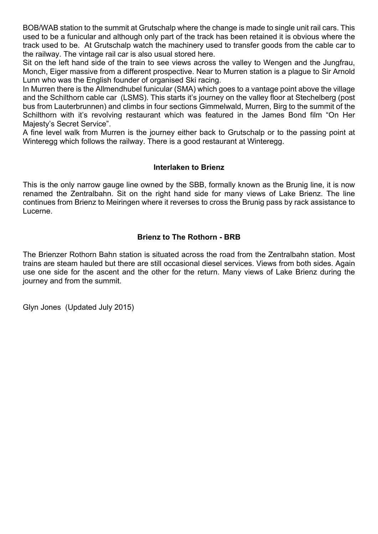BOB/WAB station to the summit at Grutschalp where the change is made to single unit rail cars. This used to be a funicular and although only part of the track has been retained it is obvious where the track used to be. At Grutschalp watch the machinery used to transfer goods from the cable car to the railway. The vintage rail car is also usual stored here.

Sit on the left hand side of the train to see views across the valley to Wengen and the Jungfrau, Monch, Eiger massive from a different prospective. Near to Murren station is a plague to Sir Arnold Lunn who was the English founder of organised Ski racing.

In Murren there is the Allmendhubel funicular (SMA) which goes to a vantage point above the village and the Schilthorn cable car (LSMS). This starts it's journey on the valley floor at Stechelberg (post bus from Lauterbrunnen) and climbs in four sections Gimmelwald, Murren, Birg to the summit of the Schilthorn with it's revolving restaurant which was featured in the James Bond film "On Her Majesty's Secret Service".

A fine level walk from Murren is the journey either back to Grutschalp or to the passing point at Winteregg which follows the railway. There is a good restaurant at Winteregg.

#### **Interlaken to Brienz**

This is the only narrow gauge line owned by the SBB, formally known as the Brunig line, it is now renamed the Zentralbahn. Sit on the right hand side for many views of Lake Brienz. The line continues from Brienz to Meiringen where it reverses to cross the Brunig pass by rack assistance to Lucerne.

# **Brienz to The Rothorn - BRB**

The Brienzer Rothorn Bahn station is situated across the road from the Zentralbahn station. Most trains are steam hauled but there are still occasional diesel services. Views from both sides. Again use one side for the ascent and the other for the return. Many views of Lake Brienz during the journey and from the summit.

Glyn Jones (Updated July 2015)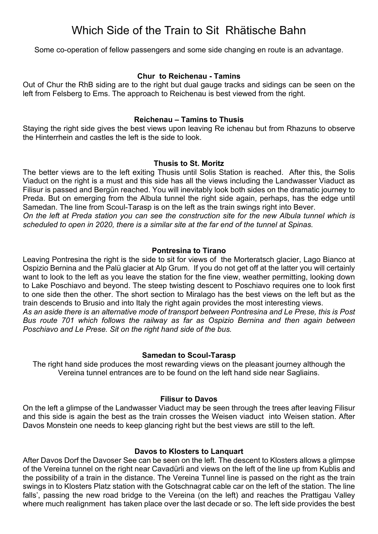# Which Side of the Train to Sit Rhätische Bahn

Some co-operation of fellow passengers and some side changing en route is an advantage.

#### **Chur to Reichenau - Tamins**

Out of Chur the RhB siding are to the right but dual gauge tracks and sidings can be seen on the left from Felsberg to Ems. The approach to Reichenau is best viewed from the right.

#### **Reichenau – Tamins to Thusis**

Staying the right side gives the best views upon leaving Re ichenau but from Rhazuns to observe the Hinterrhein and castles the left is the side to look.

#### **Thusis to St. Moritz**

The better views are to the left exiting Thusis until Solis Station is reached. After this, the Solis Viaduct on the right is a must and this side has all the views including the Landwasser Viaduct as Filisur is passed and Bergün reached. You will inevitably look both sides on the dramatic journey to Preda. But on emerging from the Albula tunnel the right side again, perhaps, has the edge until Samedan. The line from Scoul-Tarasp is on the left as the train swings right into Bever.

*On the left at Preda station you can see the construction site for the new Albula tunnel which is scheduled to open in 2020, there is a similar site at the far end of the tunnel at Spinas.*

#### **Pontresina to Tirano**

Leaving Pontresina the right is the side to sit for views of the Morteratsch glacier, Lago Bianco at Ospizio Bernina and the Palü glacier at Alp Grum. If you do not get off at the latter you will certainly want to look to the left as you leave the station for the fine view, weather permitting, looking down to Lake Poschiavo and beyond. The steep twisting descent to Poschiavo requires one to look first to one side then the other. The short section to Miralago has the best views on the left but as the train descends to Brusio and into Italy the right again provides the most interesting views. *As an aside there is an alternative mode of transport between Pontresina and Le Prese, this is Post*

*Bus route 701 which follows the railway as far as Ospizio Bernina and then again between Poschiavo and Le Prese. Sit on the right hand side of the bus.*

#### **Samedan to Scoul-Tarasp**

The right hand side produces the most rewarding views on the pleasant journey although the Vereina tunnel entrances are to be found on the left hand side near Sagliains.

#### **Filisur to Davos**

On the left a glimpse of the Landwasser Viaduct may be seen through the trees after leaving Filisur and this side is again the best as the train crosses the Weisen viaduct into Weisen station. After Davos Monstein one needs to keep glancing right but the best views are still to the left.

#### **Davos to Klosters to Lanquart**

After Davos Dorf the Davoser See can be seen on the left. The descent to Klosters allows a glimpse of the Vereina tunnel on the right near Cavadürli and views on the left of the line up from Kublis and the possibility of a train in the distance. The Vereina Tunnel line is passed on the right as the train swings in to Klosters Platz station with the Gotschnagrat cable car on the left of the station. The line falls', passing the new road bridge to the Vereina (on the left) and reaches the Prattigau Valley where much realignment has taken place over the last decade or so. The left side provides the best